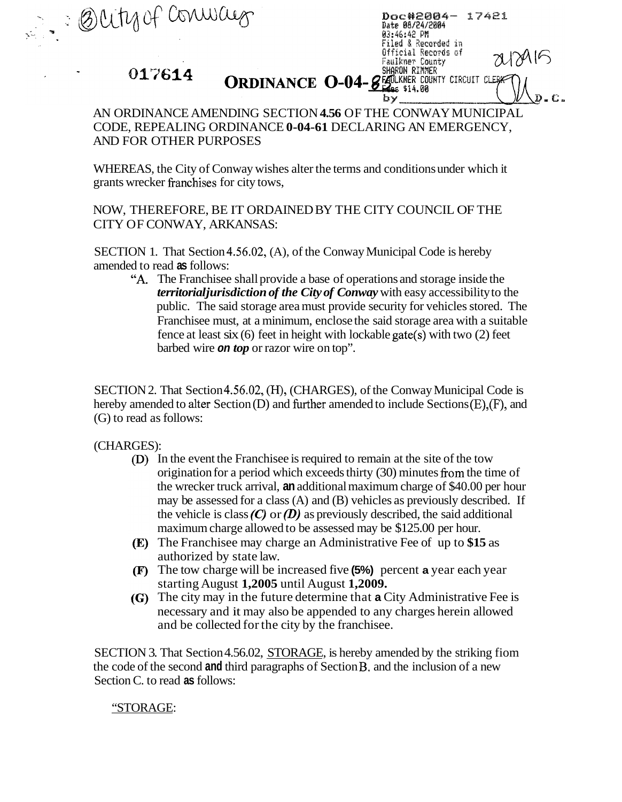SHARON RINNER 017614 **ORDINANCE 0-04-8 BLEAKING COUNTY CIRCUIT CLEP** 

Doc#2004- 17421

Date 08/24/2004 03:46:42 PM Filed & Recorded in Official Records of Faulkner County

by.

## AN ORDINANCE AMENDING SECTION **4.56** OF THE CONWAY MUNICIPAL AND FOR OTHER PURPOSES CODE, REPEALING ORDINANCE **0-04-61** DECLARING AN EMERGENCY,

WHEREAS, the City of Conway wishes alter the terms and conditions under which it grants wrecker franchises for city tows,

NOW, THEREFORE, BE IT ORDAINED BY THE CITY COUNCIL OF THE CITY OF CONWAY, ARKANSAS:

SECTION 1. That Section 4.56.02, (A), of the Conway Municipal Code is hereby amended to read **as** follows:

**"A.** The Franchisee shall provide a base of operations and storage inside the *territorial jurisdiction of the City of Conway* with easy accessibility to the public. The said storage area must provide security for vehicles stored. The Franchisee must, at a minimum, enclose the said storage area with a suitable fence at least six (6) feet in height with lockable gate(s) with two (2) feet barbed wire *on top* or razor wire on top".

SECTION 2. That Section 4.56.02, (H), (CHARGES), of the Conway Municipal Code is hereby amended to alter Section (D) and further amended to include Sections (E), (F), and (G) to read as follows:

(CHARGES):

Butyof Conway

- In the event the Franchisee is required to remain at the site of the tow origination for a period which exceeds thirty (30) minutes fiom the time of the wrecker truck arrival, **an** additional maximum charge of \$40.00 per hour may be assessed for a class (A) and (B) vehicles as previously described. If the vehicle is class *(C)* or *(D)* as previously described, the said additional maximum charge allowed to be assessed may be \$125.00 per hour.
- The Franchisee may charge an Administrative Fee of up to **\$15** as authorized by state law.
- The tow charge will be increased five **(5%)** percent **a** year each year starting August **1,2005** until August **1,2009.**
- The city may in the future determine that **a** City Administrative Fee is necessary and it may also be appended to any charges herein allowed and be collected for the city by the franchisee.

SECTION 3. That Section 4.56.02, STORAGE, is hereby amended by the striking fiom the code of the second **and** third paragraphs of Section B. and the inclusion of a new Section C. to read **as** follows:

## "STORAGE: